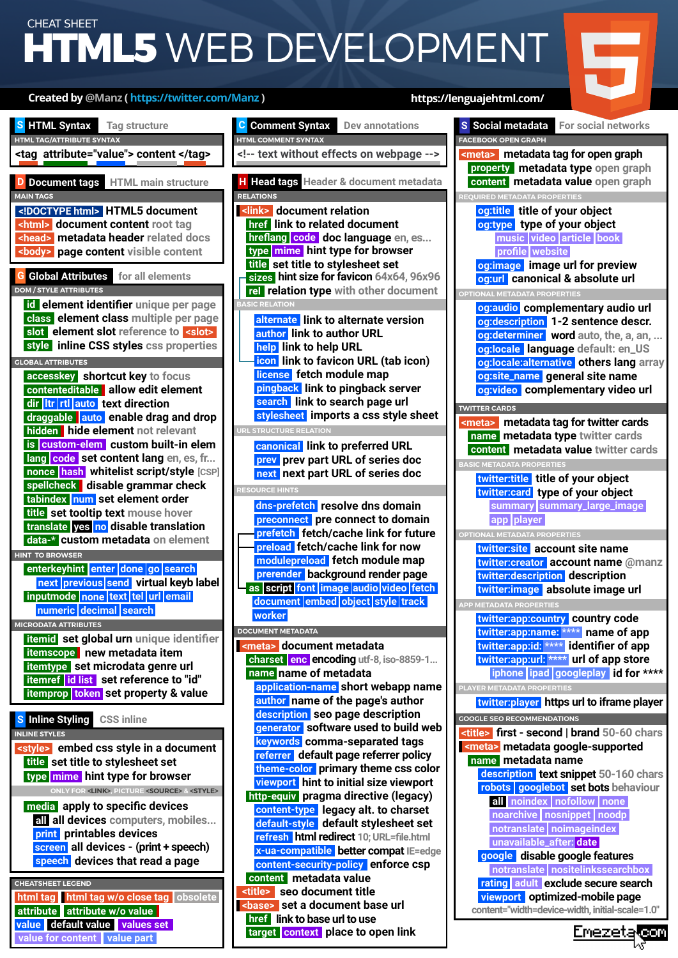## WEB DEVELOPMENT CHEAT SHEET **HTML5**



**CHEATSHEET LEGEND MICRODATA ATTRIBUTES itemid set global urn unique identifier HINT TO BROWSER GLOBAL ATTRIBUTES accesskey shortcut key to focus MAIN TAGS D Document tags HTML main structure <!DOCTYPE html> HTML5 document <html> document content root tag <head> metadata header related docs <body> page content visible content DOM / STYLE ATTRIBUTES G Global Attributes for all elements id element identifier unique per page class element class multiple per page slot element slot reference to <slot> contenteditable allow edit element ltr dir rtl auto text direction draggable auto enable drag and drop enterkeyhint enter done go search next previous send virtual keyb label hidden hide element** not relevant **inputmode none text tel url email numeric decimal search is custom-elem custom built-in elem itemprop token set property & value itemref id list set reference to "id" itemtype set microdata genre url itemscope new metadata item lang code set content lang en, es, fr... nonce hash whitelist script/style [CSP] spellcheck disable grammar check style inline CSS styles css properties tabindex** num set element order **title set tooltip text mouse hover translate yes no disable translation data-\* custom metadata on element ONLY FOR <LINK>, PICTURE <SOURCE> & <STYLE> INLINE STYLES S Inline Styling CSS inline <style> embed css style in a document media apply to specific devices title set title to stylesheet set all all devices computers, mobiles... print** printables devices **screen all devices - (print + speech) speech devices that read a page type mime hint type for browser target context place to open link HTML TAG/ATTRIBUTE SYNTAX S HTML Syntax Tag structure <tag attribute="value"> content </tag> html tag html tag w/o close tag** obsolete **of the second container to the close of the viewport optimized-mobile page attribute attribute w/o value value default value values set value for content value part**

### **<title> seo document title DOCUMENT METADATA <meta> document metadata charset encoding utf-8, iso-8859-1... enc RESOURCE HINTS STRUCTURE RELATION BASIC RELATION Created by @Manz ( https://twitter.com/Manz ) https://lenguajehtml.com/ RELATIONS H Head tags Header & document metadata <!-- text without effects on webpage --> <link> document relation rel relation type with other document alternate link to alternate version author link to author URL canonical link to preferred URL dns-prefetch resolve dns domain help link to help URL icon link to favicon URL (tab icon) modulepreload fetch module map license fetch module map prev prev part URL of series doc next next part URL of series doc pingback link to pingback server preconnect pre connect to domain prefetch fetch/cache link for future preload fetch/cache link for now prerender background render page search link to search page url stylesheet imports a css style sheet href link to related document hreflang <mark>code doc language</mark> en, es... type mime hint type for browser as script font audio document fetch embed object image style track worker video sizes hint size for favicon 64x64, 96x96 title set title to stylesheet set name name of metadata application-name short webapp name author name of the page's author description seo page description generator software used to build web keywords comma-separated tags referrer default page referrer policy theme-color primary theme css color content metadata value http-equiv pragma directive (legacy) content-type legacy alt. to charset default-style default stylesheet set refresh html redirect 10; URL=file.html x-ua-compatible better compat IE=edge content-security-policy enforce csp <base> set a document base url href link to base url to use HTML COMMENT SYNTAX viewport hint to initial size viewport C** Comment Syntax Dev annotations

**PLAYER METADATA PROPERTIES APP METADATA PROPERTIES IONAL METADATA PROPERTIES og:audio complementary audio url REQUIRED METADATA PROPERTIES property metadata type open graph <meta>** metadata tag for open graph **FACEBOOK OPEN GRAPH og:title title of your object og:type type of your object og:image image url for preview og:url canonical & absolute url music video article book profile website og:description 1-2 sentence descr. og:determiner word auto, the, a, an, ... og:locale language default: en\_US og:locale:alternative others lang array og:site\_name general site name og:video complementary video url content metadata value open graph OPTIONAL METADATA PROPERTIES BASIC METADATA PROPERTIES twitter:card type of your object name metadata type twitter cards** <meta> metadata tag for twitter cards **TWITTER CARDS content metadata value twitter cards summary summary\_large\_image app player twitter:title title of your object twitter:site account site name twitter:creator account name @manz twitter:description description twitter:image absolute image url S** Social metadata **For social networks twitter:app:country country code twitter:app:name: \*\*\*\* name of app twitter:app:id: \*\*\*\* identifier of app twitter:app:url: \*\*\*\* url of app store iphone ipad googleplay id for \*\*\*\* name metadata name GOOGLE SEO RECOMMENDATIONS <title> first - second | brand 50-60 chars twitter:player https url to iframe player <meta> metadata google-supported description text snippet 50-160 chars robots googlebot set bots behaviour all noindex nofollow none noarchive nosnippet noodp notranslate noimageindex unavailable\_after: date google disable google features notranslate nositelinkssearchbox rating adult exclude secure search content="width=device-width, initial-scale=1.0"**

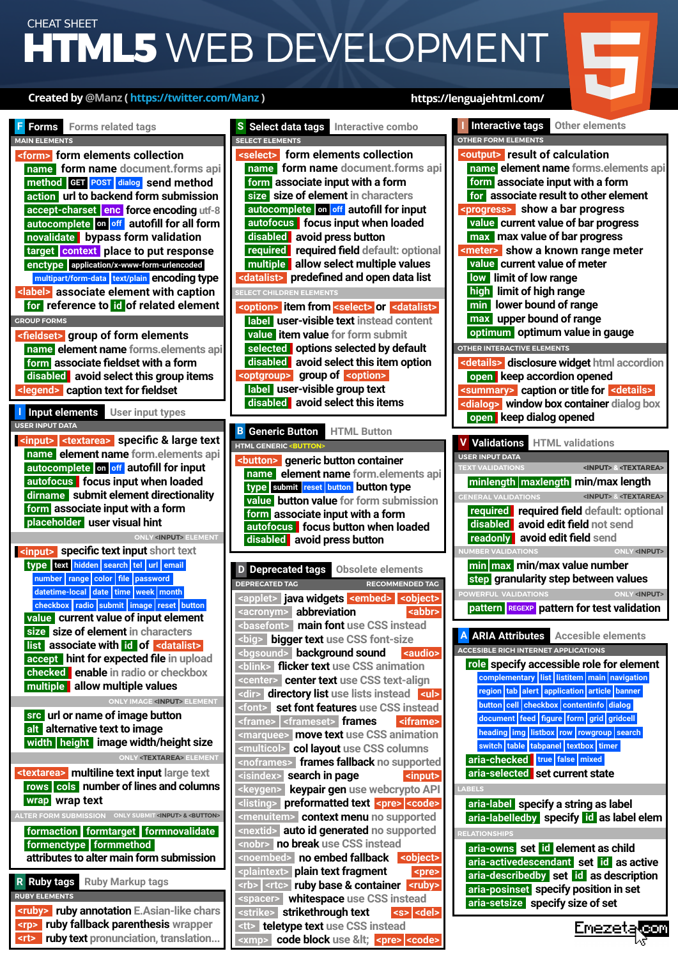# **HTML5** WEB DEVELOPMENT CHEAT SHEET

### **Created by @Manz ( https://twitter.com/Manz ) https://lenguajehtml.com/**

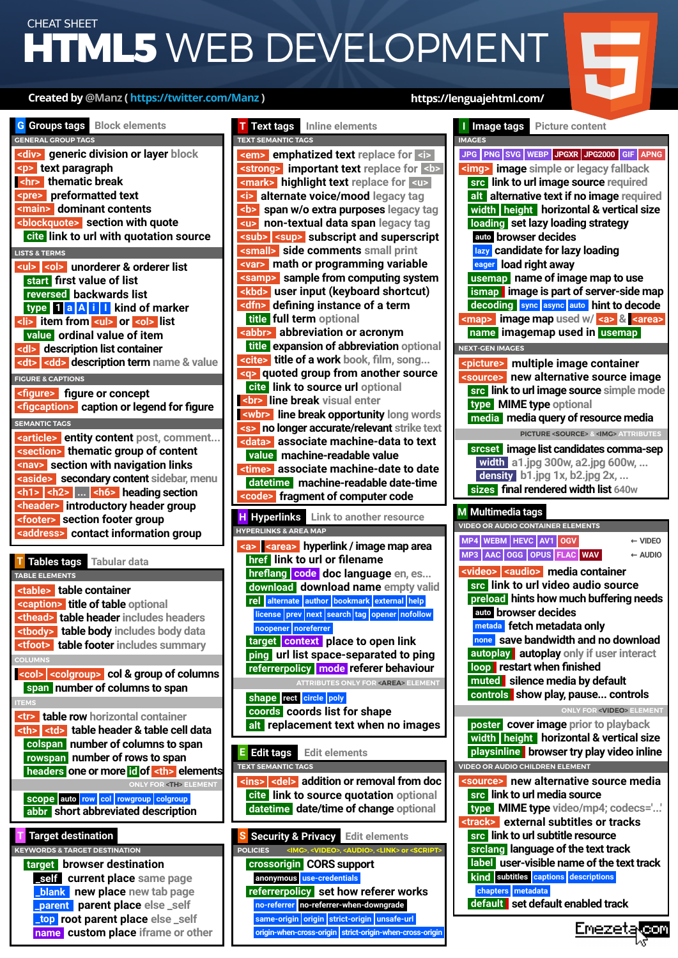# **HTML5** WEB DEVELOPMENT CHEAT SHEET

### **Created by @Manz ( https://twitter.com/Manz ) https://lenguajehtml.com/**

**IMAGES**



| density b1.jpg 1x, b2.jpg 2x,<br>sizes final rendered width list 640w             |  |  |
|-----------------------------------------------------------------------------------|--|--|
| M Multimedia tags                                                                 |  |  |
| <b>VIDEO OR AUDIO CONTAINER ELEMENTS</b>                                          |  |  |
| MP4 WEBM HEVC AV1 OGV<br>$\leftarrow$ VIDEO                                       |  |  |
| MP3 AAC OGG OPUS FLAC WAV<br>$\leftarrow$ AUDIO                                   |  |  |
| <video> <audio> media container</audio></video>                                   |  |  |
| src link to url video audio source                                                |  |  |
| preload hints how much buffering needs                                            |  |  |
| auto browser decides                                                              |  |  |
| metada fetch metadata only                                                        |  |  |
| none save bandwidth and no download                                               |  |  |
| autoplay autoplay only if user interact                                           |  |  |
| loop restart when finished                                                        |  |  |
|                                                                                   |  |  |
| muted silence media by default                                                    |  |  |
| controls show play, pause controls                                                |  |  |
| <b>ONLY FOR <video> ELEMENT</video></b>                                           |  |  |
| poster cover image prior to playback                                              |  |  |
| width height horizontal & vertical size                                           |  |  |
| playsinline browser try play video inline                                         |  |  |
| <b>VIDEO OR AUDIO CHILDREN ELEMENT</b>                                            |  |  |
| <source/> new alternative source media                                            |  |  |
| src link to url media source                                                      |  |  |
| type MIME type video/mp4; codecs=''<br><track/> external subtitles or tracks      |  |  |
| src link to url subtitle resource                                                 |  |  |
| srclang language of the text track                                                |  |  |
| label user-visible name of the text track<br>kind subtitles captions descriptions |  |  |

**chapters metadata default set default enabled track**

<u>Emezeta</u> eor



**name custom place iframe or other**